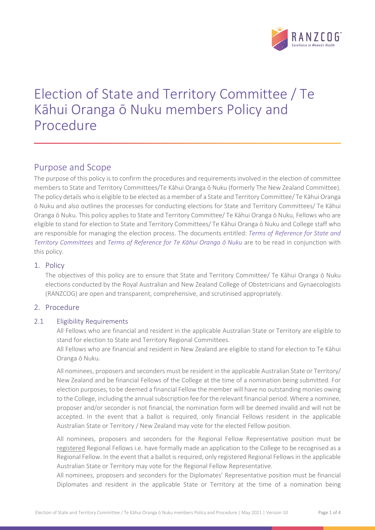

# Election of State and Territory Committee / Te Kāhui Oranga ō Nuku members Policy and Procedure

## Purpose and Scope

The purpose of this policy is to confirm the procedures and requirements involved in the election of committee members to State and Territory Committees/Te Kāhui Oranga ō Nuku (formerly The New Zealand Committee). The policy details who is eligible to be elected as a member of a State and Territory Committee/ Te Kāhui Oranga ō Nuku and also outlines the processes for conducting elections for State and Territory Committees/ Te Kāhui Oranga ō Nuku. This policy applies to State and Territory Committee/ Te Kāhui Oranga ō Nuku, Fellows who are eligible to stand for election to State and Territory Committees/ Te Kāhui Oranga ō Nuku and College staff who are responsible for managing the election process. The documents entitled: *Terms of Reference for State and Territory Committees* and *Terms of Reference for Te Kāhui Oranga ō Nuku* are to be read in conjunction with this policy.

## 1. Policy

The objectives of this policy are to ensure that State and Territory Committee/ Te Kāhui Oranga ō Nuku elections conducted by the Royal Australian and New Zealand College of Obstetricians and Gynaecologists (RANZCOG) are open and transparent, comprehensive, and scrutinised appropriately.

## 2. Procedure

#### 2.1 Eligibility Requirements

All Fellows who are financial and resident in the applicable Australian State or Territory are eligible to stand for election to State and Territory Regional Committees.

All Fellows who are financial and resident in New Zealand are eligible to stand for election to Te Kāhui Oranga ō Nuku.

All nominees, proposers and seconders must be resident in the applicable Australian State or Territory/ New Zealand and be financial Fellows of the College at the time of a nomination being submitted. For election purposes, to be deemed a financial Fellow the member will have no outstanding monies owing to the College, including the annual subscription fee for the relevant financial period. Where a nominee, proposer and/or seconder is not financial, the nomination form will be deemed invalid and will not be accepted. In the event that a ballot is required, only financial Fellows resident in the applicable Australian State or Territory / New Zealand may vote for the elected Fellow position.

All nominees, proposers and seconders for the Regional Fellow Representative position must be registered Regional Fellows i.e. have formally made an application to the College to be recognised as a Regional Fellow. In the event that a ballot is required, only registered Regional Fellows in the applicable Australian State or Territory may vote for the Regional Fellow Representative.

All nominees, proposers and seconders for the Diplomates' Representative position must be financial Diplomates and resident in the applicable State or Territory at the time of a nomination being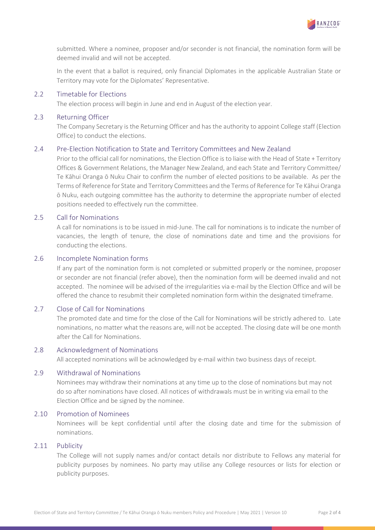

submitted. Where a nominee, proposer and/or seconder is not financial, the nomination form will be deemed invalid and will not be accepted.

In the event that a ballot is required, only financial Diplomates in the applicable Australian State or Territory may vote for the Diplomates' Representative.

#### 2.2 Timetable for Elections

The election process will begin in June and end in August of the election year.

#### 2.3 Returning Officer

The Company Secretary is the Returning Officer and has the authority to appoint College staff (Election Office) to conduct the elections.

#### 2.4 Pre-Election Notification to State and Territory Committees and New Zealand

Prior to the official call for nominations, the Election Office is to liaise with the Head of State + Territory Offices & Government Relations, the Manager New Zealand, and each State and Territory Committee/ Te Kāhui Oranga ō Nuku Chair to confirm the number of elected positions to be available. As per the Terms of Reference for State and Territory Committees and the Terms of Reference for Te Kāhui Oranga ō Nuku, each outgoing committee has the authority to determine the appropriate number of elected positions needed to effectively run the committee.

#### 2.5 Call for Nominations

A call for nominations is to be issued in mid-June. The call for nominations is to indicate the number of vacancies, the length of tenure, the close of nominations date and time and the provisions for conducting the elections.

## 2.6 Incomplete Nomination forms

If any part of the nomination form is not completed or submitted properly or the nominee, proposer or seconder are not financial (refer above), then the nomination form will be deemed invalid and not accepted. The nominee will be advised of the irregularities via e-mail by the Election Office and will be offered the chance to resubmit their completed nomination form within the designated timeframe.

#### 2.7 Close of Call for Nominations

The promoted date and time for the close of the Call for Nominations will be strictly adhered to. Late nominations, no matter what the reasons are, will not be accepted. The closing date will be one month after the Call for Nominations.

#### 2.8 Acknowledgment of Nominations

All accepted nominations will be acknowledged by e-mail within two business days of receipt.

#### 2.9 Withdrawal of Nominations

Nominees may withdraw their nominations at any time up to the close of nominations but may not do so after nominations have closed. All notices of withdrawals must be in writing via email to the Election Office and be signed by the nominee.

#### 2.10 Promotion of Nominees

Nominees will be kept confidential until after the closing date and time for the submission of nominations.

#### 2.11 Publicity

The College will not supply names and/or contact details nor distribute to Fellows any material for publicity purposes by nominees. No party may utilise any College resources or lists for election or publicity purposes.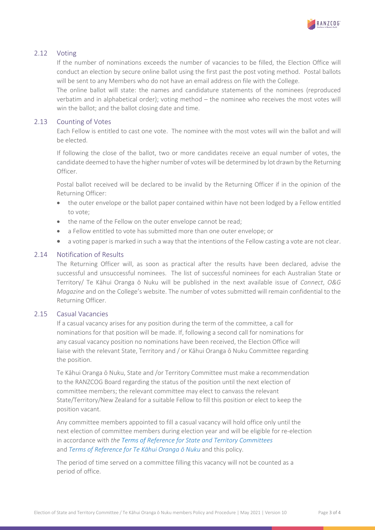

## 2.12 Voting

If the number of nominations exceeds the number of vacancies to be filled, the Election Office will conduct an election by secure online ballot using the first past the post voting method. Postal ballots will be sent to any Members who do not have an email address on file with the College.

The online ballot will state: the names and candidature statements of the nominees (reproduced verbatim and in alphabetical order); voting method – the nominee who receives the most votes will win the ballot; and the ballot closing date and time.

## 2.13 Counting of Votes

Each Fellow is entitled to cast one vote. The nominee with the most votes will win the ballot and will be elected.

If following the close of the ballot, two or more candidates receive an equal number of votes, the candidate deemed to have the higher number of votes will be determined by lot drawn by the Returning Officer.

Postal ballot received will be declared to be invalid by the Returning Officer if in the opinion of the Returning Officer:

- the outer envelope or the ballot paper contained within have not been lodged by a Fellow entitled to vote;
- the name of the Fellow on the outer envelope cannot be read;
- a Fellow entitled to vote has submitted more than one outer envelope; or
- a voting paper is marked in such a way that the intentions of the Fellow casting a vote are not clear.

## 2.14 Notification of Results

The Returning Officer will, as soon as practical after the results have been declared, advise the successful and unsuccessful nominees. The list of successful nominees for each Australian State or Territory/ Te Kāhui Oranga ō Nuku will be published in the next available issue of *Connect*, *O&G Magazine* and on the College's website. The number of votes submitted will remain confidential to the Returning Officer.

### 2.15 Casual Vacancies

If a casual vacancy arises for any position during the term of the committee, a call for nominations for that position will be made. If, following a second call for nominations for any casual vacancy position no nominations have been received, the Election Office will liaise with the relevant State, Territory and / or Kāhui Oranga ō Nuku Committee regarding the position.

Te Kāhui Oranga ō Nuku, State and /or Territory Committee must make a recommendation to the RANZCOG Board regarding the status of the position until the next election of committee members; the relevant committee may elect to canvass the relevant State/Territory/New Zealand for a suitable Fellow to fill this position or elect to keep the position vacant.

Any committee members appointed to fill a casual vacancy will hold office only until the next election of committee members during election year and will be eligible for re-election in accordance with *the Terms of Reference for State and Territory Committees* and *Terms of Reference for Te Kāhui Oranga ō Nuku* and this policy.

The period of time served on a committee filling this vacancy will not be counted as a period of office.